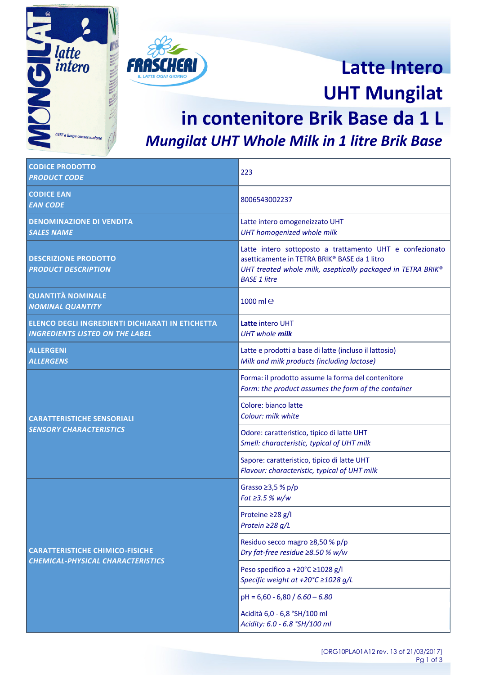



# **Latte Intero UHT Mungilat**

### **in contenitore Brik Base da 1 L** *Mungilat UHT Whole Milk in 1 litre Brik Base*

| <b>CODICE PRODOTTO</b><br><b>PRODUCT CODE</b>                                              | 223                                                                                                                                                                                            |
|--------------------------------------------------------------------------------------------|------------------------------------------------------------------------------------------------------------------------------------------------------------------------------------------------|
| <b>CODICE EAN</b><br><b>EAN CODE</b>                                                       | 8006543002237                                                                                                                                                                                  |
| <b>DENOMINAZIONE DI VENDITA</b><br><b>SALES NAME</b>                                       | Latte intero omogeneizzato UHT<br>UHT homogenized whole milk                                                                                                                                   |
| <b>DESCRIZIONE PRODOTTO</b><br><b>PRODUCT DESCRIPTION</b>                                  | Latte intero sottoposto a trattamento UHT e confezionato<br>asetticamente in TETRA BRIK® BASE da 1 litro<br>UHT treated whole milk, aseptically packaged in TETRA BRIK®<br><b>BASE 1 litre</b> |
| <b>QUANTITÀ NOMINALE</b><br><b>NOMINAL QUANTITY</b>                                        | 1000 $m$ $e$                                                                                                                                                                                   |
| ELENCO DEGLI INGREDIENTI DICHIARATI IN ETICHETTA<br><b>INGREDIENTS LISTED ON THE LABEL</b> | Latte intero UHT<br><b>UHT</b> whole milk                                                                                                                                                      |
| <b>ALLERGENI</b><br><b>ALLERGENS</b>                                                       | Latte e prodotti a base di latte (incluso il lattosio)<br>Milk and milk products (including lactose)                                                                                           |
| <b>CARATTERISTICHE SENSORIALI</b><br><b>SENSORY CHARACTERISTICS</b>                        | Forma: il prodotto assume la forma del contenitore<br>Form: the product assumes the form of the container                                                                                      |
|                                                                                            | Colore: bianco latte<br>Colour: milk white                                                                                                                                                     |
|                                                                                            | Odore: caratteristico, tipico di latte UHT<br>Smell: characteristic, typical of UHT milk                                                                                                       |
|                                                                                            | Sapore: caratteristico, tipico di latte UHT<br>Flavour: characteristic, typical of UHT milk                                                                                                    |
| <b>CARATTERISTICHE CHIMICO-FISICHE</b><br>CHEMICAL-PHYSICAL CHARACTERISTICS                | Grasso $\geq$ 3,5 % p/p<br>Fat ≥ 3.5 % w/w                                                                                                                                                     |
|                                                                                            | Proteine $\geq$ 28 g/l<br>Protein $\geq$ 28 g/L                                                                                                                                                |
|                                                                                            | Residuo secco magro ≥8,50 % p/p<br>Dry fat-free residue ≥8.50 % w/w                                                                                                                            |
|                                                                                            | Peso specifico a +20°C ≥1028 g/l<br>Specific weight at +20°C ≥1028 g/L                                                                                                                         |
|                                                                                            | $pH = 6,60 - 6,80 / 6.60 - 6.80$                                                                                                                                                               |
|                                                                                            | Acidità 6,0 - 6,8 °SH/100 ml<br>Acidity: 6.0 - 6.8 °SH/100 ml                                                                                                                                  |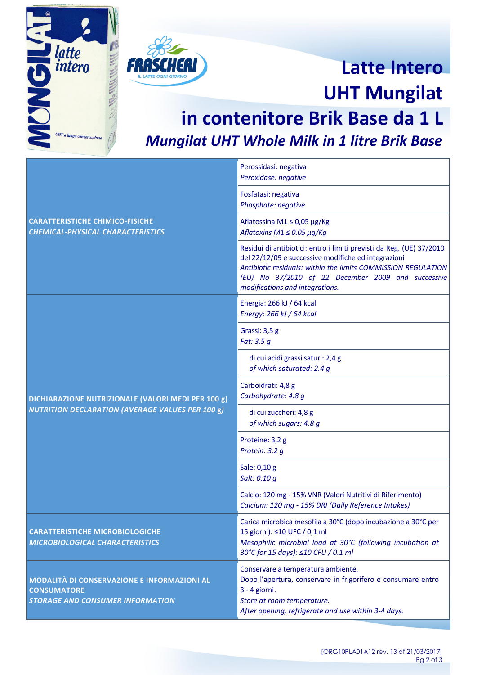



# **Latte Intero UHT Mungilat**

### **in contenitore Brik Base da 1 L** *Mungilat UHT Whole Milk in 1 litre Brik Base*

| <b>CARATTERISTICHE CHIMICO-FISICHE</b><br>CHEMICAL-PHYSICAL CHARACTERISTICS                                   | Perossidasi: negativa<br>Peroxidase: negative                                                                                                                                                                                                                                         |
|---------------------------------------------------------------------------------------------------------------|---------------------------------------------------------------------------------------------------------------------------------------------------------------------------------------------------------------------------------------------------------------------------------------|
|                                                                                                               | Fosfatasi: negativa<br>Phosphate: negative                                                                                                                                                                                                                                            |
|                                                                                                               | Aflatossina M1 ≤ 0,05 µg/Kg<br>Aflatoxins M1 $\leq$ 0.05 $\mu$ g/Kg                                                                                                                                                                                                                   |
|                                                                                                               | Residui di antibiotici: entro i limiti previsti da Reg. (UE) 37/2010<br>del 22/12/09 e successive modifiche ed integrazioni<br>Antibiotic residuals: within the limits COMMISSION REGULATION<br>(EU) No 37/2010 of 22 December 2009 and successive<br>modifications and integrations. |
| DICHIARAZIONE NUTRIZIONALE (VALORI MEDI PER 100 g)<br><b>NUTRITION DECLARATION (AVERAGE VALUES PER 100 g)</b> | Energia: 266 kJ / 64 kcal<br>Energy: 266 kJ / 64 kcal                                                                                                                                                                                                                                 |
|                                                                                                               | Grassi: 3,5 g<br>Fat: 3.5 g                                                                                                                                                                                                                                                           |
|                                                                                                               | di cui acidi grassi saturi: 2,4 g<br>of which saturated: 2.4 g                                                                                                                                                                                                                        |
|                                                                                                               | Carboidrati: 4,8 g<br>Carbohydrate: 4.8 g                                                                                                                                                                                                                                             |
|                                                                                                               | di cui zuccheri: 4,8 g<br>of which sugars: 4.8 g                                                                                                                                                                                                                                      |
|                                                                                                               | Proteine: 3,2 g<br>Protein: 3.2 g                                                                                                                                                                                                                                                     |
|                                                                                                               | Sale: 0,10 g<br>Salt: 0.10 g                                                                                                                                                                                                                                                          |
|                                                                                                               | Calcio: 120 mg - 15% VNR (Valori Nutritivi di Riferimento)<br>Calcium: 120 mg - 15% DRI (Daily Reference Intakes)                                                                                                                                                                     |
| <b>CARATTERISTICHE MICROBIOLOGICHE</b><br>MICROBIOLOGICAL CHARACTERISTICS                                     | Carica microbica mesofila a 30°C (dopo incubazione a 30°C per<br>15 giorni): ≤10 UFC / 0,1 ml<br>Mesophilic microbial load at 30°C (following incubation at<br>30°C for 15 days): ≤10 CFU / 0.1 ml                                                                                    |
| MODALITÀ DI CONSERVAZIONE E INFORMAZIONI AL<br><b>CONSUMATORE</b><br><b>STORAGE AND CONSUMER INFORMATION</b>  | Conservare a temperatura ambiente.<br>Dopo l'apertura, conservare in frigorifero e consumare entro<br>3 - 4 giorni.<br>Store at room temperature.<br>After opening, refrigerate and use within 3-4 days.                                                                              |